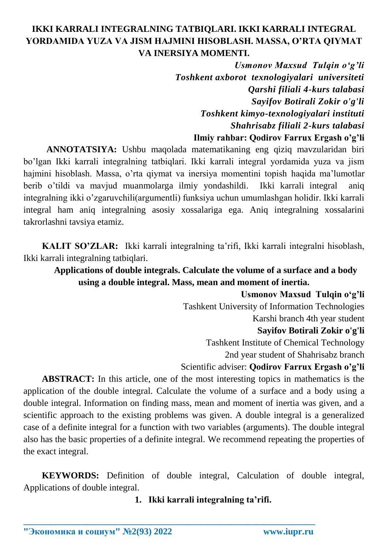# **IKKI KARRALI INTEGRALNING TATBIQLARI. IKKI KARRALI INTEGRAL YORDAMIDA YUZA VA JISM HAJMINI HISOBLASH. MASSA, O'RTA QIYMAT VA INERSIYA MOMENTI.**

*Usmonov Maxsud Tulqin o'g'li Toshkent axborot texnologiyalari universiteti Qarshi filiali 4-kurs talabasi Sayifov Botirali Zokir o'g'li Toshkent kimyo-texnologiyalari instituti Shahrisabz filiali 2-kurs talabasi* **Ilmiy rahbar: Qodirov Farrux Ergash o'g'li**

**ANNOTATSIYA:** Ushbu maqolada matematikaning eng qiziq mavzularidan biri bo'lgan Ikki karrali integralning tatbiqlari. Ikki karrali integral yordamida yuza va jism hajmini hisoblash. Massa, o'rta qiymat va inersiya momentini topish haqida ma'lumotlar berib o'tildi va mavjud muanmolarga ilmiy yondashildi. Ikki karrali integral aniq integralning ikki o'zgaruvchili(argumentli) funksiya uchun umumlashgan holidir. Ikki karrali integral ham aniq integralning asosiy xossalariga ega. Aniq integralning xossalarini takrorlashni tavsiya etamiz.

**KALIT SO'ZLAR:** Ikki karrali integralning ta'rifi, Ikki karrali integralni hisoblash, Ikki karrali integralning tatbiqlari.

# **Applications of double integrals. Calculate the volume of a surface and a body using a double integral. Mass, mean and moment of inertia.**

**Usmonov Maxsud Tulqin o'g'li** Tashkent University of Information Technologies Karshi branch 4th year student **Sayifov Botirali Zokir o'g'li** Tashkent Institute of Chemical Technology 2nd year student of Shahrisabz branch Scientific adviser: **Qodirov Farrux Ergash o'g'li**

**ABSTRACT:** In this article, one of the most interesting topics in mathematics is the application of the double integral. Calculate the volume of a surface and a body using a double integral. Information on finding mass, mean and moment of inertia was given, and a scientific approach to the existing problems was given. A double integral is a generalized case of a definite integral for a function with two variables (arguments). The double integral also has the basic properties of a definite integral. We recommend repeating the properties of the exact integral.

**KEYWORDS:** Definition of double integral, Calculation of double integral, Applications of double integral.

**\_\_\_\_\_\_\_\_\_\_\_\_\_\_\_\_\_\_\_\_\_\_\_\_\_\_\_\_\_\_\_\_\_\_\_\_\_\_\_\_\_\_\_\_\_\_\_\_\_\_\_\_\_\_\_\_\_\_\_\_\_\_\_\_**

**1. Ikki karrali integralning ta'rifi.**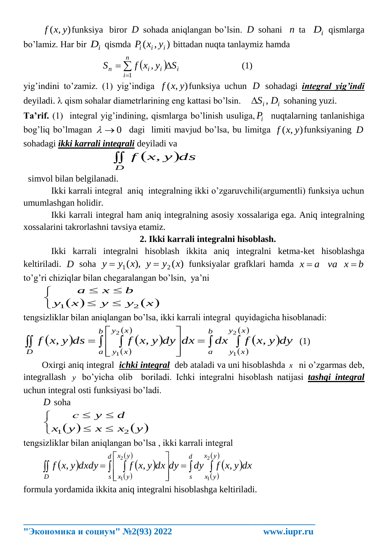funksiya biror *D* sohada aniqlangan bo'lsin. *D* sohani *n* ta *Di* qismlarga bo'lamiz. Har bir  $D_i$  qismda  $P_i(x_i, y_i)$  bittadan nuqta tanlaymiz hamda

$$
S_n = \sum_{i=1}^n f(x_i, y_i) \Delta S_i \tag{1}
$$

yig'indini to'zamiz. (1) yig'indiga *f* (*x*, *y*) funksiya uchun *D* sohadagi *integral yig'indi* deyiladi.  $\lambda$  qism sohalar diametrlarining eng kattasi bo'lsin.  $\Delta S_i$ ,  $D_i$  sohaning yuzi.

 $f(x, y)$ funksiya biror *D* solada anqlangan bo'lsin. *D* solani *n* ta<br>
bo'lamiz. Har bir *D*<sub>3</sub> cismede *P*<sub>(*x*, *x*) bittadan tuqta tunlaymiz handa<br>
yig`indini to'zaniz. (1) yig`indiga *f* (*x, y*)funksiya uchun<br>
dyig</sub> **Ta'rif.** (1) integral yig'indining, qismlarga bo'linish usuliga, *Pi* nuqtalarning tanlanishiga bog'liq bo'lmagan  $\lambda \rightarrow 0$  dagi limiti mavjud bo'lsa, bu limitga  $f(x, y)$ funksiyaning D sohadagi *ikki karrali integrali* deyiladi va

$$
\iint\limits_{D} f(x, y) ds
$$

simvol bilan belgilanadi.

Ikki karrali integral aniq integralning ikki o'zgaruvchili(argumentli) funksiya uchun umumlashgan holidir.

Ikki karrali integral ham aniq integralning asosiy xossalariga ega. Aniq integralning xossalarini takrorlashni tavsiya etamiz.

### **2. Ikki karrali integralni hisoblash.**

Ikki karrali integralni hisoblash ikkita aniq integralni ketma-ket hisoblashga keltiriladi. *D* soha  $y = y_1(x)$ ,  $y = y_2(x)$  funksiyalar grafklari hamda  $x = a$  *va*  $x = b$ to'g'ri chiziqlar bilan chegaralangan bo'lsin, ya'ni

$$
\begin{cases}\na \le x \le b \\
y_1(x) \le y \le y_2(x)\n\end{cases}
$$

tengsizliklar bilan aniqlangan bo'lsa, ikki karrali integral quyidagicha hisoblanadi:

$$
\begin{cases}\n\big[ y_1(x) \le y \le y_2(x) \big] \\
\text{tengsizliklar bilan aniqlangan bo'lsa, ikki karrali integral quyidagicha hisoblan} \\
\iint_D f(x, y) \, ds = \int_a^b \left[ \int_{y_1(x)}^{y_2(x)} f(x, y) \, dy \right] \, dx = \int_a^b \left[ \int_{y_1(x)}^{y_2(x)} f(x, y) \, dy \right] \, dy\n\end{cases} \tag{1}
$$

Oxirgi aniq integral *ichki integral* deb ataladi va uni hisoblashda *x* ni o'zgarmas deb, integrallash *y* bo'yicha olib boriladi. Ichki integralni hisoblash natijasi *tashqi integral* uchun integral osti funksiyasi bo'ladi.

*D* soha

$$
\begin{cases} c \le y \le d \\ x_1(y) \le x \le x_2(y) \end{cases}
$$

tengsizliklar bilan aniqlangan bo'lsa , ikki karrali integral

$$
\iint\limits_{D} f(x, y) dxdy = \int\limits_{S}^{d} \left[ \int\limits_{x_1(y)}^{x_2(y)} f(x, y) dx \right] dy = \int\limits_{S}^{d} dy \int\limits_{x_1(y)}^{x_2(y)} f(x, y) dx
$$

**\_\_\_\_\_\_\_\_\_\_\_\_\_\_\_\_\_\_\_\_\_\_\_\_\_\_\_\_\_\_\_\_\_\_\_\_\_\_\_\_\_\_\_\_\_\_\_\_\_\_\_\_\_\_\_\_\_\_\_\_\_\_\_\_**

formula yordamida ikkita aniq integralni hisoblashga keltiriladi.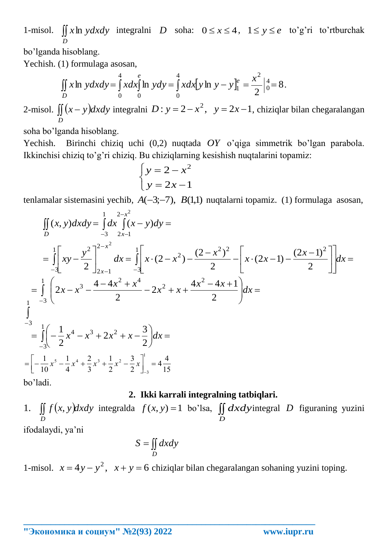1-misol.  $\iint x \ln y dx dy$  integralni *D* soha:  $0 \le x \le 4$ ,  $1 \le y \le e$  to'g'ri to'rtburchak *D*

bo'lganda hisoblang.

Yechish. (1) formulaga asosan,

$$
\iint\limits_{D} x \ln y \, dx \, dy = \int\limits_{0}^{4} x \, dx \int\limits_{0}^{e} \ln y \, dy = \int\limits_{0}^{4} x \, dx \big[ y \ln y - y \big]_{1}^{e} = \frac{x^{2}}{2} \Big|_{0}^{4} = 8 \, .
$$

2-misol.  $\iint (x - y)dx$ *D*  $(x - y)dx dy$  integralni  $D: y = 2 - x^2$ ,  $y = 2x - 1$ , chiziqlar bilan chegaralangan

soha bo'lganda hisoblang.

Yechish. Birinchi chiziq uchi (0,2) nuqtada *OY* o'qiga simmetrik bo'lgan parabola. Ikkinchisi chiziq to'g'ri chiziq. Bu chiziqlarning kesishish nuqtalarini topamiz:

$$
\begin{cases}\ny = 2 - x^2 \\
y = 2x - 1\n\end{cases}
$$

tenlamalar sistemasini yechib,  $A(-3,-7)$ ,  $B(1,1)$  nuqtalarni topamiz. (1) formulaga asosan,

$$
\iint_{D} (x, y) dx dy = \int_{-3}^{1} dx \int_{2x}^{2-x^2} (x - y) dy =
$$
\n
$$
= \int_{-3}^{1} \left[ xy - \frac{y^2}{2} \right]_{2x-1}^{2-x^2} dx = \int_{-3}^{1} \left[ x \cdot (2 - x^2) - \frac{(2 - x^2)^2}{2} - \left[ x \cdot (2x - 1) - \frac{(2x - 1)^2}{2} \right] dx \right] dx =
$$
\n
$$
= \int_{-3}^{1} \left( 2x - x^3 - \frac{4 - 4x^2 + x^4}{2} - 2x^2 + x + \frac{4x^2 - 4x + 1}{2} \right) dx =
$$
\n
$$
\int_{-3}^{-3} = \int_{-3}^{1} \left( -\frac{1}{2} x^4 - x^3 + 2x^2 + x - \frac{3}{2} \right) dx =
$$
\n
$$
= \left[ -\frac{1}{10} x^5 - \frac{1}{4} x^4 + \frac{2}{3} x^3 + \frac{1}{2} x^2 - \frac{3}{2} x \right]_{-3}^{1} = 4 \frac{4}{15}
$$

bo'ladi.

### **2. Ikki karrali integralning tatbiqlari.**

 $f(x, y)dx dy$ *D* 1.  $\iint f(x, y) dxdy$  integralda  $f(x, y) = 1$  bo'lsa,  $\iint$ *D dxdy* integral *D* figuraning yuzini ifodalaydi, ya'ni

$$
S = \iint\limits_D dx dy
$$

**\_\_\_\_\_\_\_\_\_\_\_\_\_\_\_\_\_\_\_\_\_\_\_\_\_\_\_\_\_\_\_\_\_\_\_\_\_\_\_\_\_\_\_\_\_\_\_\_\_\_\_\_\_\_\_\_\_\_\_\_\_\_\_\_**

1-misol.  $x = 4y - y^2$ ,  $x + y = 6$  chiziqlar bilan chegaralangan sohaning yuzini toping.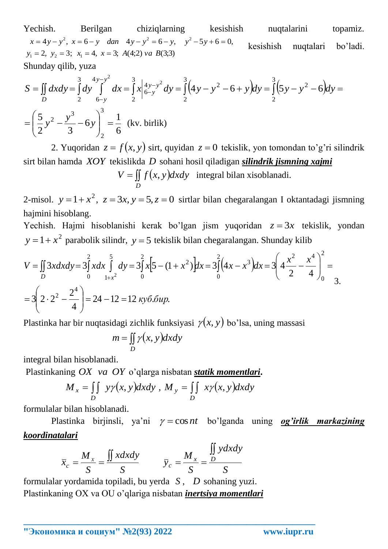Yechish. Berilgan chiziqlarning kesishish nuqtalarini topamiz. (echish. Berilgan chiziqlarni<br>  $x = 4y - y^2$ ,  $x = 6 - y$  dan  $4y - y^2 = 6 - y$ ,<br>  $y_1 = 2$ ,  $y_2 = 3$ ;  $x_1 = 4$ ,  $x = 3$ ;  $A(4;2)$  va  $B(3;3)$  $x = 4y - y^2$ ,  $x = 6 - y$  *dan*  $4y - y^2 = 6 - y$ ,  $y^2 - 5y + 6 = 0$ ,  $= 2, y_2 = 3; x_1 = 4, x =$ kesishish nuqtalari bo'ladi. Shunday qilib, yuza

$$
x = 4y - y^2, x = 6 - y \quad \text{dan} \quad 4y - y^2 = 6 - y, \quad y^2 - 5y + 6 = 0,
$$
\n
$$
y_1 = 2, y_2 = 3; x_1 = 4, x = 3; A(4;2) \text{ va } B(3;3)
$$
\nShunday qilib, yuza

\n
$$
S = \iint_D dxdy = \int_2^3 dy \int_0^4 dx = \int_2^3 x \Big|_0^4 y - y^2 \Big|_0^4 dy = \int_2^3 (4y - y^2 - 6 + y) dy = \int_2^3 (5y - y^2 - 6) dy = \int_2^3 (5y - y^2 - 6) dy = \int_2^3 (5y - y^2 - 6) dy = \int_2^3 (5y - y^2 - 6) dy = \int_2^3 (5y - y^2 - 6) dy = \int_2^3 (5y - y^2 - 6) dy = \frac{1}{3}
$$
\nEquation (1.11)

2. Yuqoridan  $z = f(x, y)$  sirt, quyidan  $z = 0$  tekislik, yon tomondan to'g'ri silindrik sirt bilan hamda *XOY* tekislikda *D* sohani hosil qiladigan *silindrik jismning xajmi*

 $V = \iint f(x, y)$ *D*  $V = \iint f(x, y) dxdy$  integral bilan xisoblanadi.

2-misol.  $y = 1 + x^2$ ,  $z = 3x$ ,  $y = 5$ ,  $z = 0$  sirtlar bilan chegaralangan I oktantadagi jismning hajmini hisoblang.

Yechish. Hajmi hisoblanishi kerak bo'lgan jism yuqoridan  $z = 3x$  tekislik, yondan  $y = 1 + x^2$  parabolik silindr,  $y = 5$  tekislik bilan chegaralangan. Shunday kilib

Yechish. Hajmi hisoblanishi kerak bo'lgan jism yuqoridaan 
$$
z = 3x
$$
 tekislik, y  
\n $y = 1 + x^2$  parabolik silindr,  $y = 5$  tekislik bilan chegaralangan. Shunday kilib  
\n
$$
V = \iint_D 3xdxdy = 3\int_0^2 xdx \int_{1+x^2}^5 dy = 3\int_0^2 x[5 - (1 + x^2)]dx = 3\int_0^2 (4x - x^3)dx = 3\left(4\frac{x^2}{2} - \frac{x^4}{4}\right)_{0}^2 = 3\left(2 \cdot 2^2 - \frac{2^4}{4}\right) = 24 - 12 = 12 \text{ ky6.6up.}
$$

Plastinka har bir nuqtasidagi zichlik funksiyasi  $\gamma(x, y)$  bo'lsa, uning massasi

$$
m = \iint\limits_{D} \gamma(x, y) dxdy
$$

integral bilan hisoblanadi.

Plastinkaning *OX va OY* o'qlarga nisbatan *statik momentlari***.**

$$
M_x = \iint\limits_D y\gamma(x, y)dxdy, M_y = \iint\limits_D x\gamma(x, y)dxdy
$$

formulalar bilan hisoblanadi.

Plastinka birjinsli, ya'ni  $\gamma = \cos nt$  bo'lganda uning **og'irlik markazining** *koordinatalari*

$$
\overline{x}_c = \frac{M_x}{S} = \frac{\iint x dx dy}{S} \qquad \overline{y}_c = \frac{M_x}{S} = \frac{\iint y dx dy}{S}
$$

**\_\_\_\_\_\_\_\_\_\_\_\_\_\_\_\_\_\_\_\_\_\_\_\_\_\_\_\_\_\_\_\_\_\_\_\_\_\_\_\_\_\_\_\_\_\_\_\_\_\_\_\_\_\_\_\_\_\_\_\_\_\_\_\_**

formulalar yordamida topiladi, bu yerda *S* , *D* sohaning yuzi. Plastinkaning OX va OU o'qlariga nisbatan *inertsiya momentlari*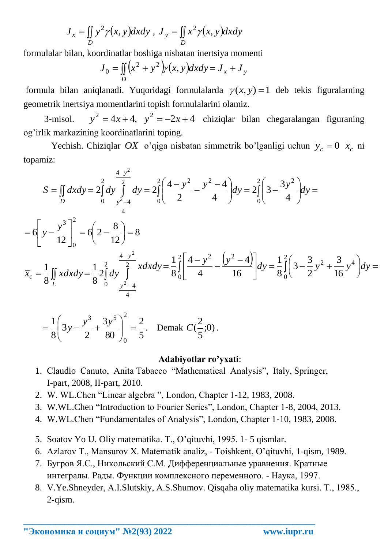$$
J_x = \iint_D y^2 \gamma(x, y) dx dy, J_y = \iint_D x^2 \gamma(x, y) dx dy
$$

formulalar bilan, koordinatlar boshiga nisbatan inertsiya momenti

$$
J_0 = \iint_D (x^2 + y^2) y(x, y) dx dy = J_x + J_y
$$

formula bilan aniqlanadi. Yuqoridagi formulalarda  $\gamma(x, y) = 1$  deb tekis figuralarning geometrik inertsiya momentlarini topish formulalarini olamiz.

3-misol.  $y^2 = 4x + 4$ ,  $y^2 = -2x + 4$  chiziqlar bilan chegaralangan figuraning og'irlik markazining koordinatlarini toping.

Yechish. Chiziqlar *OX* o'qiga nisbatan simmetrik bo'lganligi uchun  $\bar{y}_c = 0$   $\bar{x}_c$  ni topamiz:

topamiz:  
\n
$$
S = \iint_D dxdy = 2\int_0^2 dy \int_{\frac{y^2-4}{4}}^{2} dy = 2\int_0^2 \left(\frac{4-y^2}{2} - \frac{y^2-4}{4}\right) dy = 2\int_0^2 \left(3 - \frac{3y^2}{4}\right) dy =
$$
\n
$$
= 6\left[ y - \frac{y^3}{12} \right]_0^2 = 6\left(2 - \frac{8}{12}\right) = 8
$$
\n
$$
\bar{x}_c = \frac{1}{8} \iint_L x dx dy = \frac{1}{8} 2\int_0^2 dy \int_0^{\frac{4-y^2}{2}} x dx dy = \frac{1}{8} \int_0^2 \left[ \frac{4-y^2}{4} - \frac{y^2-4}{16} \right] dy = \frac{1}{8} \int_0^2 \left(3 - \frac{3}{2}y^2 + \frac{3}{16}y^4\right) dy =
$$

$$
= \frac{1}{8} \left( 3y - \frac{y^3}{2} + \frac{3y^5}{80} \right)_0^2 = \frac{2}{5}.
$$
 Demak  $C(\frac{2}{5};0)$ .

#### **Adabiyotlar ro'yxati**:

- 1. Сlaudio Сanuto, Anita Tabacco "Mathematical Analysis", Italy, Springer, I-part, 2008, II-part, 2010.
- 2. W. WL.Chen "Linear algebra ", London, Chapter 1-12, 1983, 2008.
- 3. W.WL.Chen "Introduction to Fourier Series", London, Chapter 1-8, 2004, 2013.
- 4. W.WL.Chen "Fundamentales of Analysis", London, Chapter 1-10, 1983, 2008.
- 5. Soatov Yo U. Oliy matematika. Т., O'qituvhi, 1995. 1- 5 qismlar.
- 6. Azlarov Т., Мansurov Х. Matematik analiz, Тoishkent, O'qituvhi, 1-qism, 1989.
- 7. Бугров Я.С., Никольский С.М. Дифференциальные уравнения. Кратные интегралы. Рады. Функции комплексного переменного. - Наука, 1997.

**\_\_\_\_\_\_\_\_\_\_\_\_\_\_\_\_\_\_\_\_\_\_\_\_\_\_\_\_\_\_\_\_\_\_\_\_\_\_\_\_\_\_\_\_\_\_\_\_\_\_\_\_\_\_\_\_\_\_\_\_\_\_\_\_**

8. V.Ye.Shneyder, А.I.Slutskiy, А.S.Shumov. Qisqaha oliy matematika kursi. Т., 1985., 2-qism.